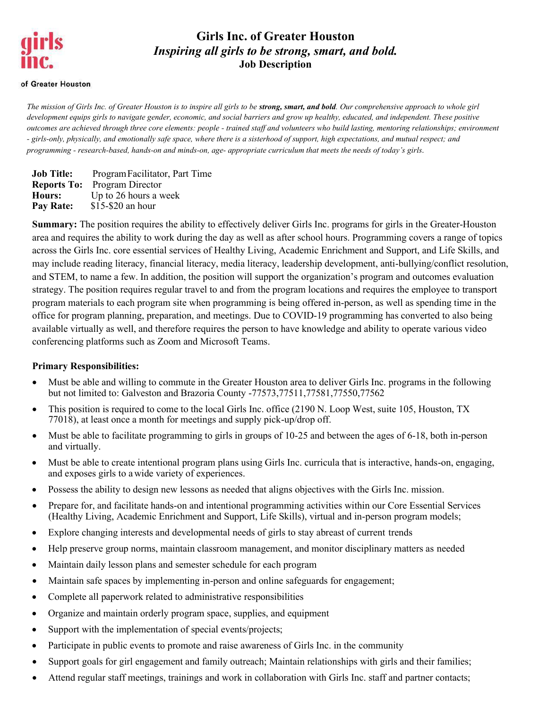# **Girls Inc. of Greater Houston** *Inspiring all girls to be strong, smart, and bold.* **Job Description**

#### of Greater Houston

*The mission of Girls Inc. of Greater Houston is to inspire all girls to be strong, smart, and bold. Our comprehensive approach to whole girl development equips girls to navigate gender, economic, and social barriers and grow up healthy, educated, and independent. These positive outcomes are achieved through three core elements: people - trained staff and volunteers who build lasting, mentoring relationships; environment - girls-only, physically, and emotionally safe space, where there is a sisterhood of support, high expectations, and mutual respect; and programming - research-based, hands-on and minds-on, age- appropriate curriculum that meets the needs of today's girls.*

**Job Title:** Program Facilitator, Part Time **Reports To:** Program Director **Hours:** Up to 26 hours a week Pay Rate: \$15-\$20 an hour

**Summary:** The position requires the ability to effectively deliver Girls Inc. programs for girls in the Greater-Houston area and requires the ability to work during the day as well as after school hours. Programming covers a range of topics across the Girls Inc. core essential services of Healthy Living, Academic Enrichment and Support, and Life Skills, and may include reading literacy, financial literacy, media literacy, leadership development, anti-bullying/conflict resolution, and STEM, to name a few. In addition, the position will support the organization's program and outcomes evaluation strategy. The position requires regular travel to and from the program locations and requires the employee to transport program materials to each program site when programming is being offered in-person, as well as spending time in the office for program planning, preparation, and meetings. Due to COVID-19 programming has converted to also being available virtually as well, and therefore requires the person to have knowledge and ability to operate various video conferencing platforms such as Zoom and Microsoft Teams.

### **Primary Responsibilities:**

- Must be able and willing to commute in the Greater Houston area to deliver Girls Inc. programs in the following but not limited to: Galveston and Brazoria County -77573,77511,77581,77550,77562
- This position is required to come to the local Girls Inc. office (2190 N. Loop West, suite 105, Houston, TX 77018), at least once a month for meetings and supply pick-up/drop off.
- Must be able to facilitate programming to girls in groups of 10-25 and between the ages of 6-18, both in-person and virtually.
- Must be able to create intentional program plans using Girls Inc. curricula that is interactive, hands-on, engaging, and exposes girls to a wide variety of experiences.
- Possess the ability to design new lessons as needed that aligns objectives with the Girls Inc. mission.
- Prepare for, and facilitate hands-on and intentional programming activities within our Core Essential Services (Healthy Living, Academic Enrichment and Support, Life Skills), virtual and in-person program models;
- Explore changing interests and developmental needs of girls to stay abreast of current trends
- Help preserve group norms, maintain classroom management, and monitor disciplinary matters as needed
- Maintain daily lesson plans and semester schedule for each program
- Maintain safe spaces by implementing in-person and online safeguards for engagement;
- Complete all paperwork related to administrative responsibilities
- Organize and maintain orderly program space, supplies, and equipment
- Support with the implementation of special events/projects;
- Participate in public events to promote and raise awareness of Girls Inc. in the community
- Support goals for girl engagement and family outreach; Maintain relationships with girls and their families;
- Attend regular staff meetings, trainings and work in collaboration with Girls Inc. staff and partner contacts;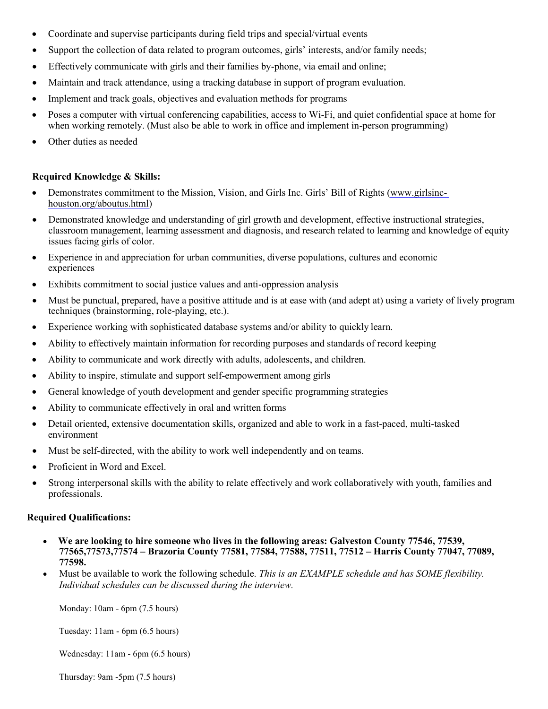- Coordinate and supervise participants during field trips and special/virtual events
- Support the collection of data related to program outcomes, girls' interests, and/or family needs;
- Effectively communicate with girls and their families by-phone, via email and online;
- Maintain and track attendance, using a tracking database in support of program evaluation.
- Implement and track goals, objectives and evaluation methods for programs
- Poses a computer with virtual conferencing capabilities, access to Wi-Fi, and quiet confidential space at home for when working remotely. (Must also be able to work in office and implement in-person programming)
- Other duties as needed

### **Required Knowledge & Skills:**

- Demonstrates commitment to the Mission, Vision, and Girls Inc. Girls' Bill of Rights [\(www.girlsinc](http://www.girlsinc-houston.org/aboutus.html)[houston.org/aboutus.html\)](http://www.girlsinc-houston.org/aboutus.html)
- Demonstrated knowledge and understanding of girl growth and development, effective instructional strategies, classroom management, learning assessment and diagnosis, and research related to learning and knowledge of equity issues facing girls of color.
- Experience in and appreciation for urban communities, diverse populations, cultures and economic experiences
- Exhibits commitment to social justice values and anti-oppression analysis
- Must be punctual, prepared, have a positive attitude and is at ease with (and adept at) using a variety of lively program techniques (brainstorming, role-playing, etc.).
- Experience working with sophisticated database systems and/or ability to quickly learn.
- Ability to effectively maintain information for recording purposes and standards of record keeping
- Ability to communicate and work directly with adults, adolescents, and children.
- Ability to inspire, stimulate and support self-empowerment among girls
- General knowledge of youth development and gender specific programming strategies
- Ability to communicate effectively in oral and written forms
- Detail oriented, extensive documentation skills, organized and able to work in a fast-paced, multi-tasked environment
- Must be self-directed, with the ability to work well independently and on teams.
- Proficient in Word and Excel.
- Strong interpersonal skills with the ability to relate effectively and work collaboratively with youth, families and professionals.

### **Required Qualifications:**

- • **We are looking to hire someone who lives in the following areas: Galveston County 77546, 77539, 77565,77573,77574 – Brazoria County 77581, 77584, 77588, 77511, 77512 – Harris County 77047, 77089, 77598.**
- Must be available to work the following schedule. *This is an EXAMPLE schedule and has SOME flexibility. Individual schedules can be discussed during the interview.*

Monday: 10am - 6pm (7.5 hours)

Tuesday: 11am - 6pm (6.5 hours)

Wednesday: 11am - 6pm (6.5 hours)

Thursday: 9am -5pm (7.5 hours)